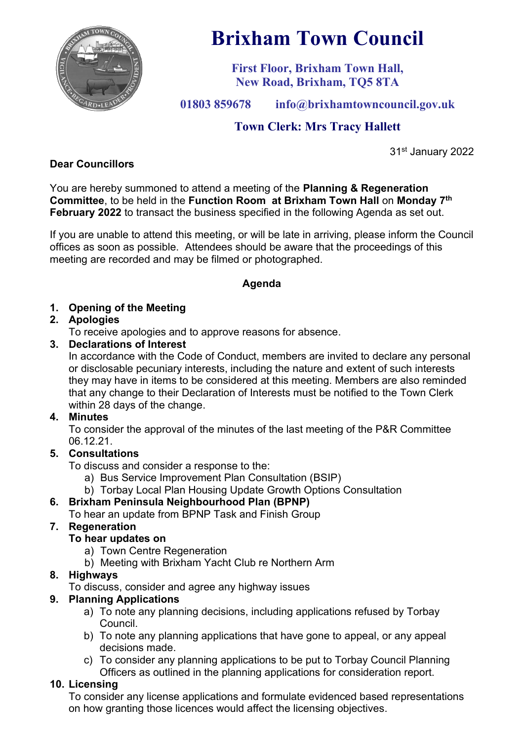

# **Brixham Town Council**

**First Floor, Brixham Town Hall, New Road, Brixham, TQ5 8TA**

**01803 859678 info@brixhamtowncouncil.gov.uk**

# **Town Clerk: Mrs Tracy Hallett**

31st January 2022

## **Dear Councillors**

You are hereby summoned to attend a meeting of the **Planning & Regeneration Committee**, to be held in the **Function Room at Brixham Town Hall** on **Monday 7 th February 2022** to transact the business specified in the following Agenda as set out.

If you are unable to attend this meeting, or will be late in arriving, please inform the Council offices as soon as possible. Attendees should be aware that the proceedings of this meeting are recorded and may be filmed or photographed.

### **Agenda**

### **1. Opening of the Meeting**

### **2. Apologies**

To receive apologies and to approve reasons for absence.

### **3. Declarations of Interest**

In accordance with the Code of Conduct, members are invited to declare any personal or disclosable pecuniary interests, including the nature and extent of such interests they may have in items to be considered at this meeting. Members are also reminded that any change to their Declaration of Interests must be notified to the Town Clerk within 28 days of the change.

### **4. Minutes**

To consider the approval of the minutes of the last meeting of the P&R Committee 06.12.21.

### **5. Consultations**

To discuss and consider a response to the:

- a) Bus Service Improvement Plan Consultation (BSIP)
- b) Torbay Local Plan Housing Update Growth Options Consultation

# **6. Brixham Peninsula Neighbourhood Plan (BPNP)**

To hear an update from BPNP Task and Finish Group

# **7. Regeneration**

### **To hear updates on**

- a) Town Centre Regeneration
- b) Meeting with Brixham Yacht Club re Northern Arm

### **8. Highways**

To discuss, consider and agree any highway issues

### **9. Planning Applications**

- a) To note any planning decisions, including applications refused by Torbay Council.
- b) To note any planning applications that have gone to appeal, or any appeal decisions made.
- c) To consider any planning applications to be put to Torbay Council Planning Officers as outlined in the planning applications for consideration report.

# **10. Licensing**

To consider any license applications and formulate evidenced based representations on how granting those licences would affect the licensing objectives.